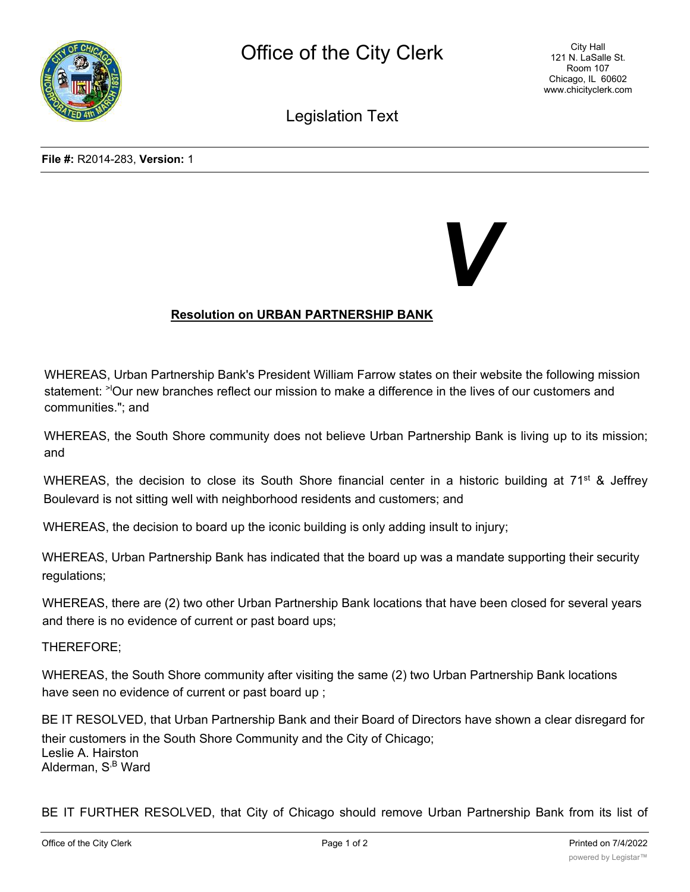

Legislation Text

 *V*

## **Resolution on URBAN PARTNERSHIP BANK**

WHEREAS, Urban Partnership Bank's President William Farrow states on their website the following mission statement: <sup>>|</sup>Our new branches reflect our mission to make a difference in the lives of our customers and communities."; and

WHEREAS, the South Shore community does not believe Urban Partnership Bank is living up to its mission; and

WHEREAS, the decision to close its South Shore financial center in a historic building at 71<sup>st</sup> & Jeffrey Boulevard is not sitting well with neighborhood residents and customers; and

WHEREAS, the decision to board up the iconic building is only adding insult to injury;

WHEREAS, Urban Partnership Bank has indicated that the board up was a mandate supporting their security regulations;

WHEREAS, there are (2) two other Urban Partnership Bank locations that have been closed for several years and there is no evidence of current or past board ups;

THEREFORE;

WHEREAS, the South Shore community after visiting the same (2) two Urban Partnership Bank locations have seen no evidence of current or past board up ;

BE IT RESOLVED, that Urban Partnership Bank and their Board of Directors have shown a clear disregard for their customers in the South Shore Community and the City of Chicago; Leslie A. Hairston Alderman, S<sup>,B</sup> Ward

BE IT FURTHER RESOLVED, that City of Chicago should remove Urban Partnership Bank from its list of